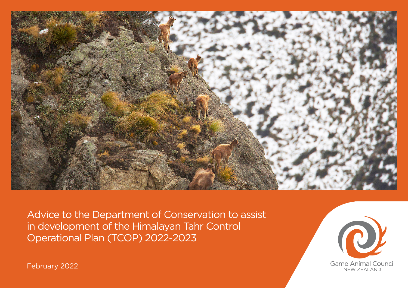

Advice to the Department of Conservation to assist in development of the Himalayan Tahr Control Operational Plan (TCOP) 2022-2023



February 2022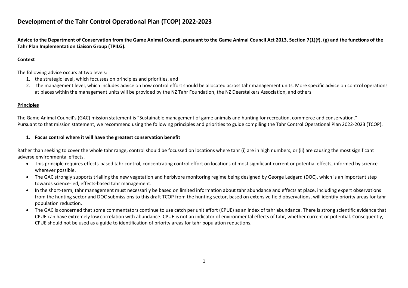# **Development of the Tahr Control Operational Plan (TCOP) 2022-2023**

**Advice to the Department of Conservation from the Game Animal Council, pursuant to the Game Animal Council Act 2013, Section 7(1)(f), (g) and the functions of the Tahr Plan Implementation Liaison Group (TPILG).**

### **Context**

The following advice occurs at two levels:

- 1. the strategic level, which focusses on principles and priorities, and
- 2. the management level, which includes advice on how control effort should be allocated across tahr management units. More specific advice on control operations at places within the management units will be provided by the NZ Tahr Foundation, the NZ Deerstalkers Association, and others.

#### **Principles**

The Game Animal Council's (GAC) mission statement is "Sustainable management of game animals and hunting for recreation, commerce and conservation." Pursuant to that mission statement, we recommend using the following principles and priorities to guide compiling the Tahr Control Operational Plan 2022-2023 (TCOP).

#### **1. Focus control where it will have the greatest conservation benefit**

Rather than seeking to cover the whole tahr range, control should be focussed on locations where tahr (i) are in high numbers, or (ii) are causing the most significant adverse environmental effects.

- This principle requires effects-based tahr control, concentrating control effort on locations of most significant current or potential effects, informed by science wherever possible.
- The GAC strongly supports trialling the new vegetation and herbivore monitoring regime being designed by George Ledgard (DOC), which is an important step towards science-led, effects-based tahr management.
- In the short-term, tahr management must necessarily be based on limited information about tahr abundance and effects at place, including expert observations from the hunting sector and DOC submissions to this draft TCOP from the hunting sector, based on extensive field observations, will identify priority areas for tahr population reduction.
- The GAC is concerned that some commentators continue to use catch per unit effort (CPUE) as an index of tahr abundance. There is strong scientific evidence that CPUE can have extremely low correlation with abundance. CPUE is not an indicator of environmental effects of tahr, whether current or potential. Consequently, CPUE should not be used as a guide to identification of priority areas for tahr population reductions.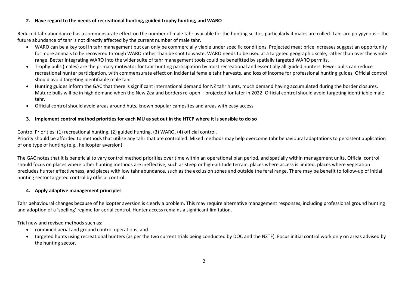## **2. Have regard to the needs of recreational hunting, guided trophy hunting, and WARO**

Reduced tahr abundance has a commensurate effect on the number of male tahr available for the hunting sector, particularly if males are culled. Tahr are polygynous – the future abundance of tahr is not directly affected by the current number of male tahr.

- WARO can be a key tool in tahr management but can only be commercially viable under specific conditions. Projected meat price increases suggest an opportunity for more animals to be recovered through WARO rather than be shot to waste. WARO needs to be used at a targeted geographic scale, rather than over the whole range. Better integrating WARO into the wider suite of tahr management tools could be benefitted by spatially targeted WARO permits.
- Trophy bulls (males) are the primary motivator for tahr hunting participation by most recreational and essentially all guided hunters. Fewer bulls can reduce recreational hunter participation, with commensurate effect on incidental female tahr harvests, and loss of income for professional hunting guides. Official control should avoid targeting identifiable male tahr.
- Hunting guides inform the GAC that there is significant international demand for NZ tahr hunts, much demand having accumulated during the border closures. Mature bulls will be in high demand when the New Zealand borders re-open – projected for later in 2022. Official control should avoid targeting identifiable male tahr.
- Official control should avoid areas around huts, known popular campsites and areas with easy access

#### **3. Implement control method priorities for each MU as set out in the HTCP where it is sensible to do so**

Control Priorities: (1) recreational hunting, (2) guided hunting, (3) WARO, (4) official control.

Priority should be afforded to methods that utilise any tahr that are controlled. Mixed methods may help overcome tahr behavioural adaptations to persistent application of one type of hunting (e.g., helicopter aversion).

The GAC notes that it is beneficial to vary control method priorities over time within an operational plan period, and spatially within management units. Official control should focus on places where other hunting methods are ineffective, such as steep or high-altitude terrain, places where access is limited, places where vegetation precludes hunter effectiveness, and places with low tahr abundance, such as the exclusion zones and outside the feral range. There may be benefit to follow-up of initial hunting sector targeted control by official control.

## **4. Apply adaptive management principles**

Tahr behavioural changes because of helicopter aversion is clearly a problem. This may require alternative management responses, including professional ground hunting and adoption of a 'spelling' regime for aerial control. Hunter access remains a significant limitation.

Trial new and revised methods such as:

- combined aerial and ground control operations, and
- targeted hunts using recreational hunters (as per the two current trials being conducted by DOC and the NZTF). Focus initial control work only on areas advised by the hunting sector.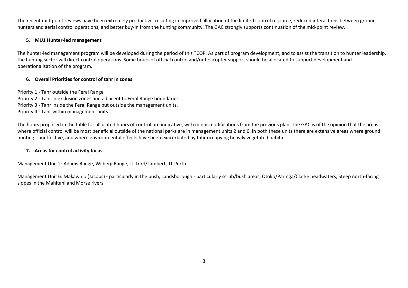The recent mid-point reviews have been extremely productive, resulting in improved allocation of the limited control resource, reduced interactions between ground hunters and aerial control operations, and better buy-in from the hunting community. The GAC strongly supports continuation of the mid-point review.

### **5. MU1 Hunter-led management**

The hunter-led management program will be developed during the period of this TCOP. As part of program development, and to assist the transition to hunter leadership, the hunting sector will direct control operations. Some hours of official control and/or helicopter support should be allocated to support development and operationalisation of the program.

#### **6. Overall Priorities for control of tahr in zones**

Priority 1 - Tahr outside the Feral Range Priority 2 - Tahr in exclusion zones and adjacent to Feral Range boundaries Priority 3 - Tahr inside the Feral Range but outside the management units. Priority 4 - Tahr within management units

The hours proposed in the table for allocated hours of control are indicative, with minor modifications from the previous plan. The GAC is of the opinion that the areas where official control will be most beneficial outside of the national parks are in management units 2 and 6. In both these units there are extensive areas where ground hunting is ineffective, and where environmental effects have been exacerbated by tahr occupying heavily vegetated habitat.

## **7. Areas for control activity focus**

Management Unit 2: Adams Range, Wilberg Range, TL Lord/Lambert, TL Perth

Management Unit 6: Makawhio (Jacobs) - particularly in the bush, Landsborough - particularly scrub/bush areas, Otoko/Paringa/Clarke headwaters, Steep north-facing slopes in the Mahitahi and Morse rivers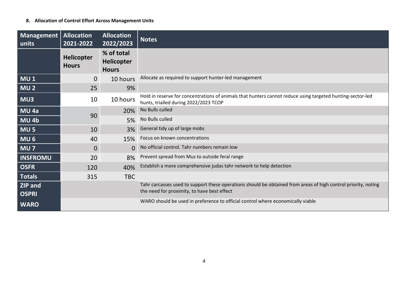## **8. Allocation of Control Effort Across Management Units**

| <b>Management</b><br>units     | <b>Allocation</b><br>2021-2022 | <b>Allocation</b><br>2022/2023                  | <b>Notes</b>                                                                                                                                                  |
|--------------------------------|--------------------------------|-------------------------------------------------|---------------------------------------------------------------------------------------------------------------------------------------------------------------|
|                                | Helicopter<br><b>Hours</b>     | % of total<br><b>Helicopter</b><br><b>Hours</b> |                                                                                                                                                               |
| MU <sub>1</sub>                | 0                              | 10 hours                                        | Allocate as required to support hunter-led management                                                                                                         |
| MU <sub>2</sub>                | 25                             | 9%                                              |                                                                                                                                                               |
| MU3                            | 10                             | 10 hours                                        | Hold in reserve for concentrations of animals that hunters cannot reduce using targeted hunting-sector-led<br>hunts, trialled during 2022/2023 TCOP           |
| MU <sub>4a</sub>               | 90                             | 20%                                             | No Bulls culled                                                                                                                                               |
| MU <sub>4b</sub>               |                                | 5%                                              | No Bulls culled                                                                                                                                               |
| MU <sub>5</sub>                | 10                             | 3%                                              | General tidy up of large mobs                                                                                                                                 |
| MU <sub>6</sub>                | 40                             | 15%                                             | Focus on known concentrations                                                                                                                                 |
| MU <sub>7</sub>                | $\mathbf 0$                    | $\overline{0}$                                  | No official control. Tahr numbers remain low                                                                                                                  |
| <b>INSFROMU</b>                | 20                             | 8%                                              | Prevent spread from Mus to outside feral range                                                                                                                |
| <b>OSFR</b>                    | 120                            | 40%                                             | Establish a more comprehensive judas tahr network to help detection                                                                                           |
| <b>Totals</b>                  | 315                            | <b>TBC</b>                                      |                                                                                                                                                               |
| <b>ZIP</b> and<br><b>OSPRI</b> |                                |                                                 | Tahr carcasses used to support these operations should be obtained from areas of high control priority, noting<br>the need for proximity, to have best effect |
| <b>WARO</b>                    |                                |                                                 | WARO should be used in preference to official control where economically viable                                                                               |